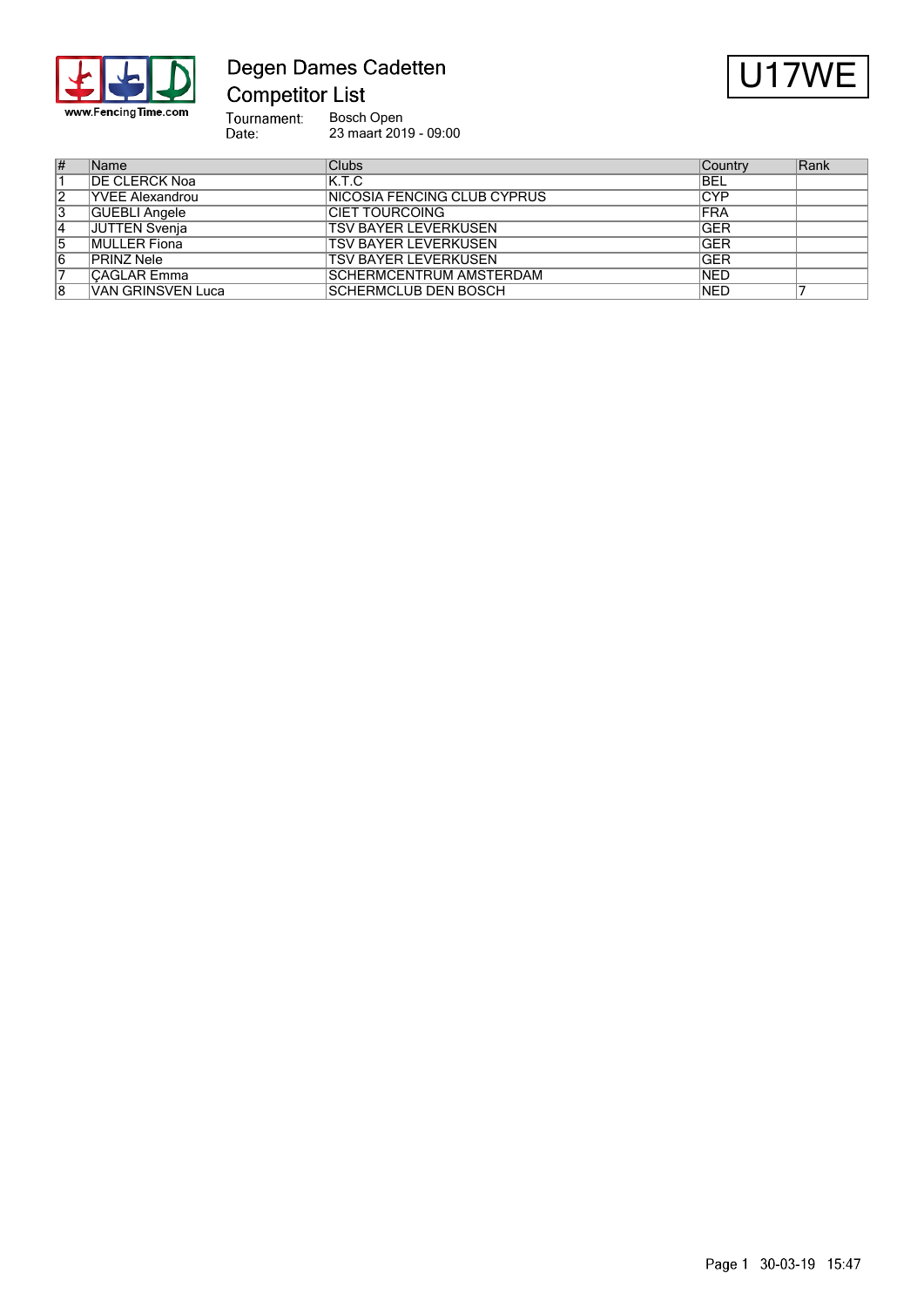

Degen Dames Cadetten **Competitor List** 

 $U17V$ 

Tournament:<br>Date: Bosch Open 23 maart 2019 - 09:00

| #              | Name                     | Clubs                          | Country    | Rank |
|----------------|--------------------------|--------------------------------|------------|------|
|                | <b>DE CLERCK Noa</b>     | IK.T.C                         | <b>BEL</b> |      |
| 2              | <b>YVEE Alexandrou</b>   | INICOSIA FENCING CLUB CYPRUS   | CYP        |      |
| 3              | <b>GUEBLI Angele</b>     | <b>ICIET TOURCOING</b>         | <b>FRA</b> |      |
| 4              | JUTTEN Svenja            | <b>TSV BAYER LEVERKUSEN</b>    | <b>GER</b> |      |
| $\overline{5}$ | <b>MULLER Fiona</b>      | <b>TSV BAYER LEVERKUSEN</b>    | <b>GER</b> |      |
| 6              | PRINZ Nele               | <b>TSV BAYER LEVERKUSEN</b>    | <b>GER</b> |      |
| 7              | <b>CAĞLAR Emma</b>       | <b>SCHERMCENTRUM AMSTERDAM</b> | <b>NED</b> |      |
| 8              | <b>VAN GRINSVEN Luca</b> | <b>SCHERMCLUB DEN BOSCH</b>    | <b>NED</b> |      |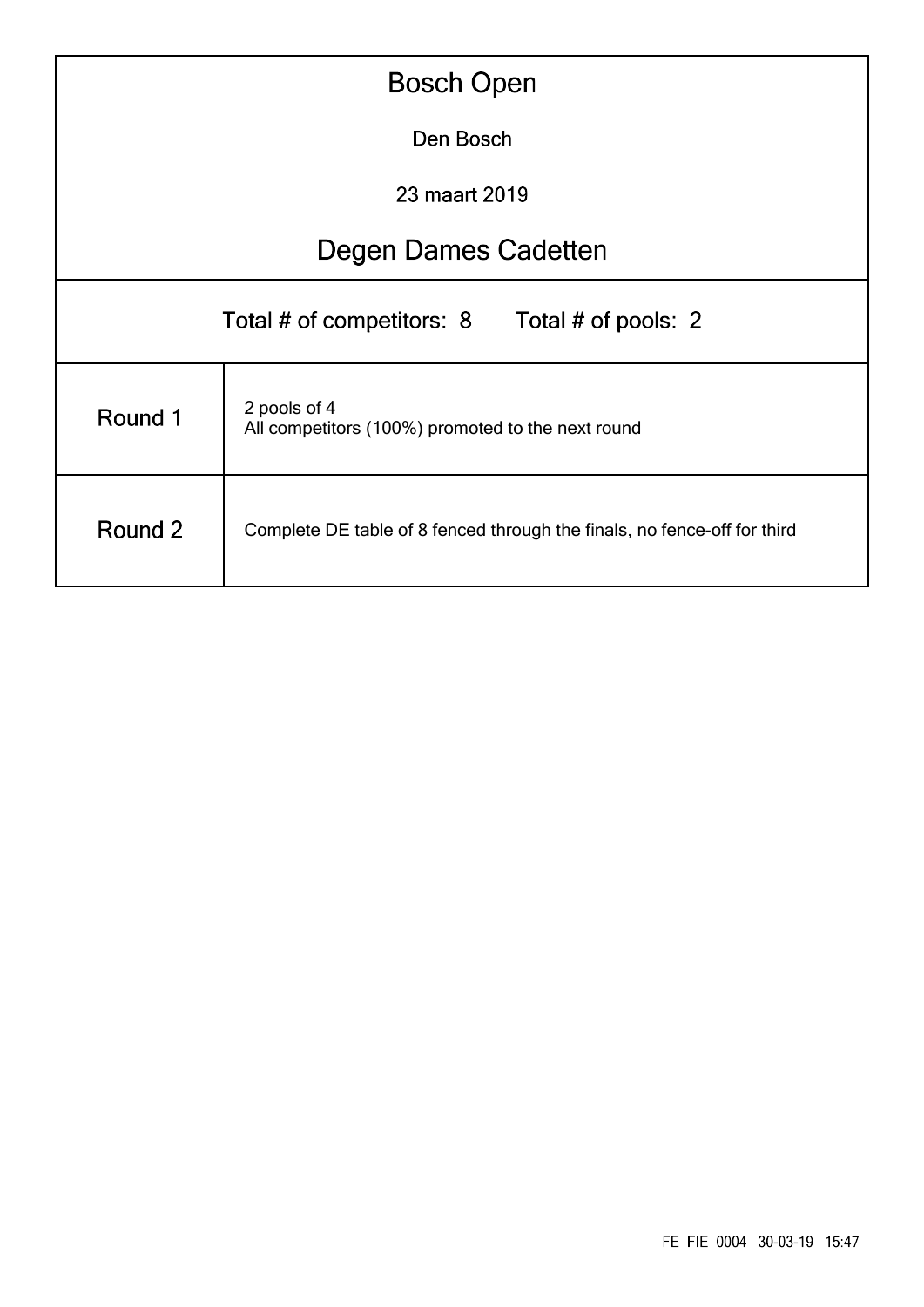| <b>Bosch Open</b>                                                            |                                                                          |  |  |  |  |  |  |
|------------------------------------------------------------------------------|--------------------------------------------------------------------------|--|--|--|--|--|--|
| Den Bosch                                                                    |                                                                          |  |  |  |  |  |  |
| 23 maart 2019                                                                |                                                                          |  |  |  |  |  |  |
|                                                                              | Degen Dames Cadetten                                                     |  |  |  |  |  |  |
| Total # of competitors: 8<br>Total # of pools: 2                             |                                                                          |  |  |  |  |  |  |
| 2 pools of 4<br>Round 1<br>All competitors (100%) promoted to the next round |                                                                          |  |  |  |  |  |  |
| Round 2                                                                      | Complete DE table of 8 fenced through the finals, no fence-off for third |  |  |  |  |  |  |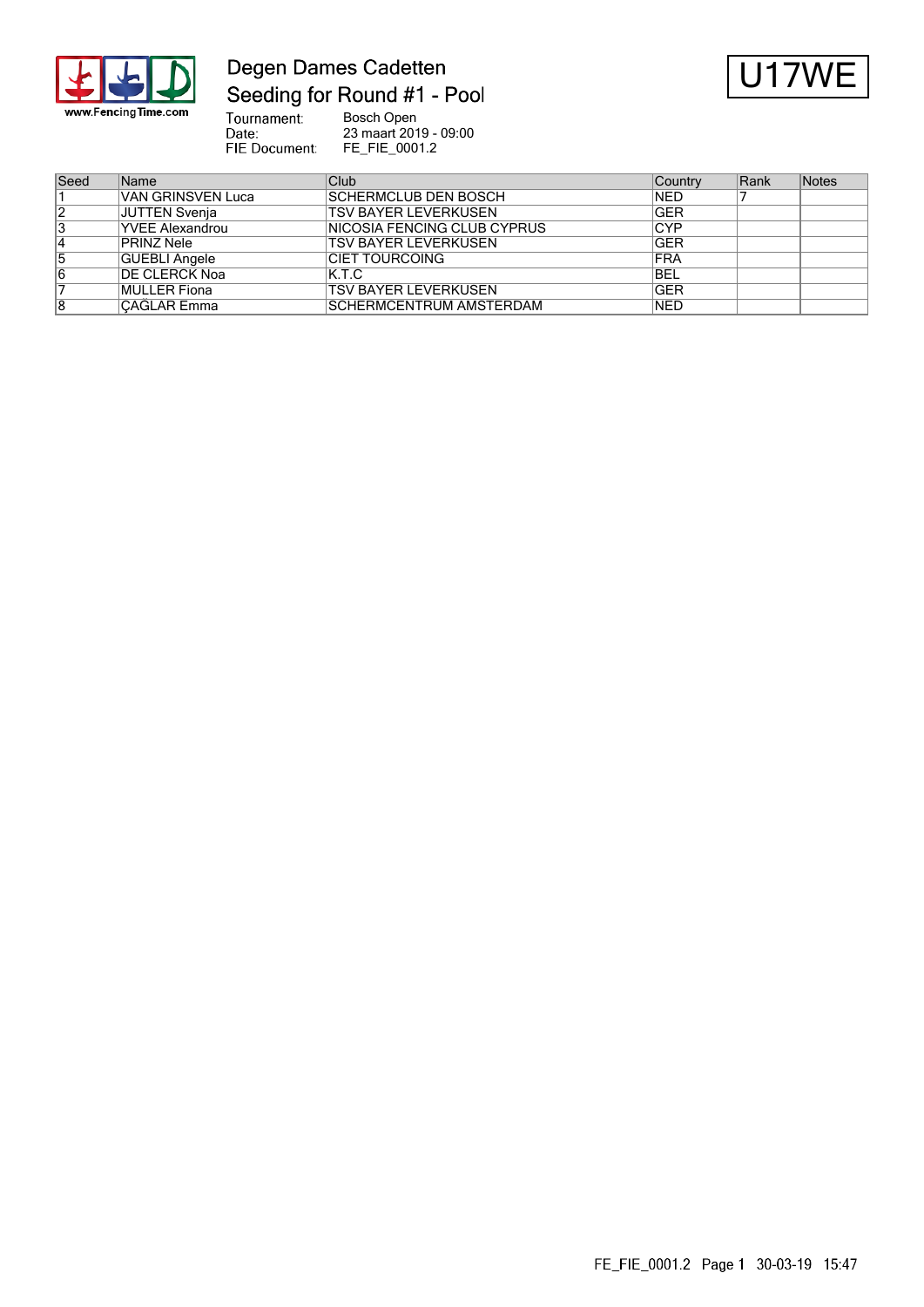

## Degen Dames Cadetten Seeding for Round #1 - Pool



Bosch Open<br>23 maart 2019 - 09:00<br>FE\_FIE\_0001.2 Tournament:<br>Date: FIE Document:

| Seed | <b>Name</b>            | Club                                | Country    | Rank | <b>Notes</b> |
|------|------------------------|-------------------------------------|------------|------|--------------|
|      | VAN GRINSVEN Luca      | <b>SCHERMCLUB DEN BOSCH</b>         | <b>NED</b> |      |              |
| 12   | JUTTEN Svenja          | <b>TSV BAYER LEVERKUSEN</b>         | <b>GER</b> |      |              |
| 3    | <b>YVEE Alexandrou</b> | <b>INICOSIA FENCING CLUB CYPRUS</b> | <b>CYP</b> |      |              |
| 14   | PRINZ Nele             | <b>TSV BAYER LEVERKUSEN</b>         | <b>GER</b> |      |              |
| 5    | GUEBLI Angele          | ICIET TOURCOING                     | <b>FRA</b> |      |              |
| 6    | <b>IDE CLERCK Noa</b>  | K.T.C                               | <b>BEL</b> |      |              |
|      | MULLER Fiona           | <b>TSV BAYER LEVERKUSEN</b>         | <b>GER</b> |      |              |
| 8    | <b>CAĞLAR Emma</b>     | <b>ISCHERMCENTRUM AMSTERDAM</b>     | <b>NED</b> |      |              |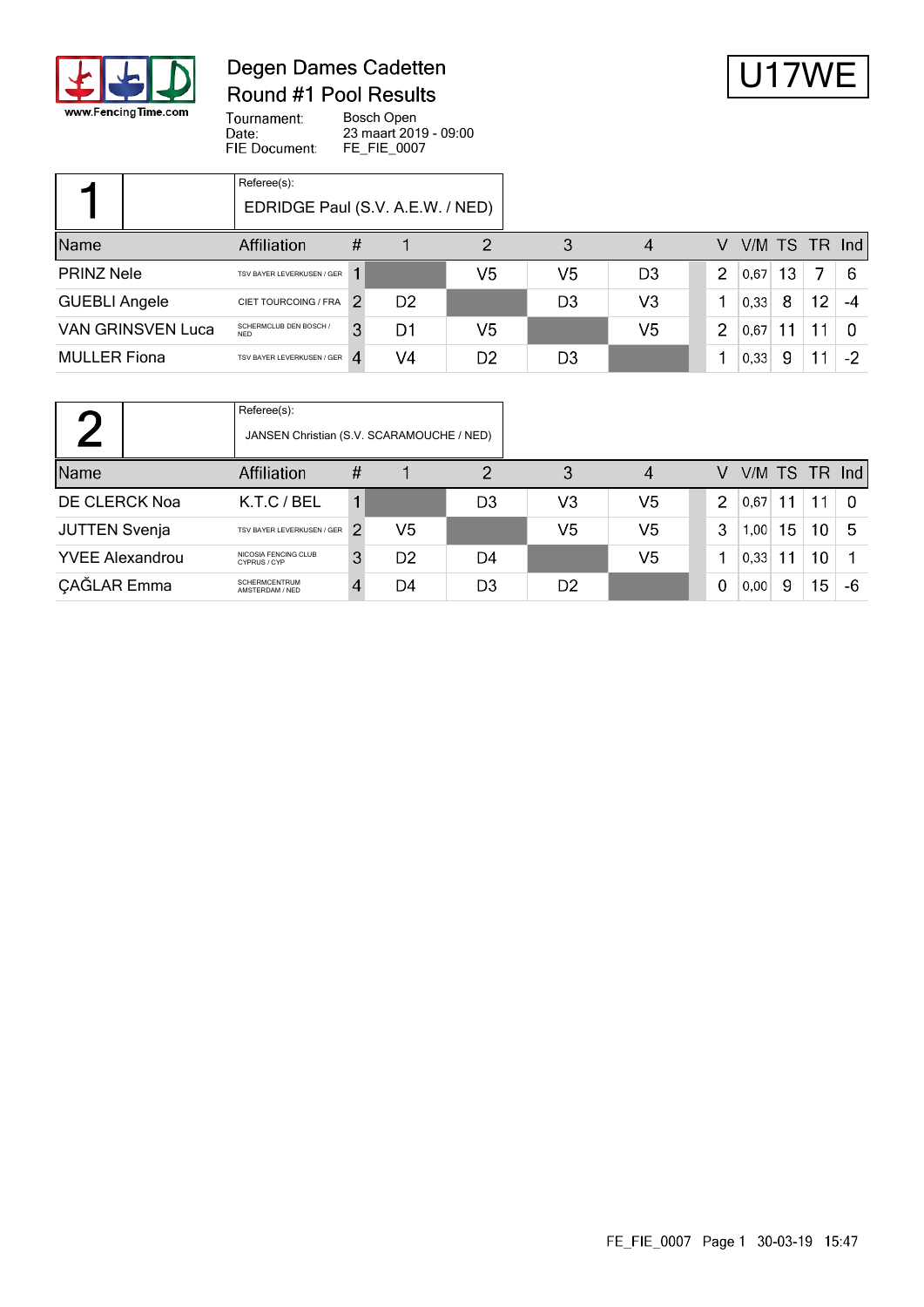

### Degen Dames Cadetten Round #1 Pool Results



Tournament: Bosch Open Date: 23 maart 2019 - 09:00 FIE Document: FE\_FIE\_0007

|                                                                  | Referee(s):<br>EDRIDGE Paul (S.V. A.E.W. / NED) |   |                |                |                |                |   |      |    |               |      |
|------------------------------------------------------------------|-------------------------------------------------|---|----------------|----------------|----------------|----------------|---|------|----|---------------|------|
| Name                                                             | <b>Affiliation</b>                              | # |                | 2              | 3              | 4              | V |      |    | V/M TS TR Ind |      |
| <b>PRINZ Nele</b>                                                | TSV BAYER LEVERKUSEN / GER                      |   |                | V5             | V5             | D <sub>3</sub> | 2 | 0.67 | 13 |               | 6    |
| <b>GUEBLI Angele</b>                                             | CIET TOURCOING / FRA                            |   | D <sub>2</sub> |                | D <sub>3</sub> | V <sub>3</sub> |   | 0.33 | 8  | 12            | -4   |
| SCHERMCLUB DEN BOSCH /<br><b>VAN GRINSVEN Luca</b><br><b>NFD</b> |                                                 | 3 | D1             | V5             |                | V5             | 2 | 0.67 |    | 11            | 0    |
| <b>MULLER Fiona</b><br>TSV BAYER LEVERKUSEN / GER                |                                                 |   | V4             | D <sub>2</sub> | D <sub>3</sub> |                |   | 0,33 | 9  | 11            | $-2$ |

|                            | Referee(s):<br>JANSEN Christian (S.V. SCARAMOUCHE / NED) |   |                |                |                |    |   |      |     |                 |               |
|----------------------------|----------------------------------------------------------|---|----------------|----------------|----------------|----|---|------|-----|-----------------|---------------|
| <b>Name</b><br>Affiliation |                                                          | # |                | っ              | 3              | 4  | V |      |     |                 | V/M TS TR Ind |
| DE CLERCK Noa              | K.T.C / BEL                                              |   |                | D <sub>3</sub> | V3             | V5 | 2 | 0.67 | 11. | 11              | -0            |
| <b>JUTTEN Svenja</b>       | TSV BAYER LEVERKUSEN / GER                               |   | V5             |                | V5             | V5 | 3 | 1,00 | 15  | 10              | 5             |
| <b>YVEE Alexandrou</b>     | NICOSIA FENCING CLUB<br>CYPRUS / CYP                     | 3 | D <sub>2</sub> | D4             |                | V5 |   | 0,33 |     | 10              |               |
| <b>ÇAĞLAR</b> Emma         | <b>SCHERMCENTRUM</b><br>AMSTERDAM / NED                  |   | D4             | D <sub>3</sub> | D <sub>2</sub> |    | 0 | 0,00 | 9   | 15 <sub>1</sub> | -6            |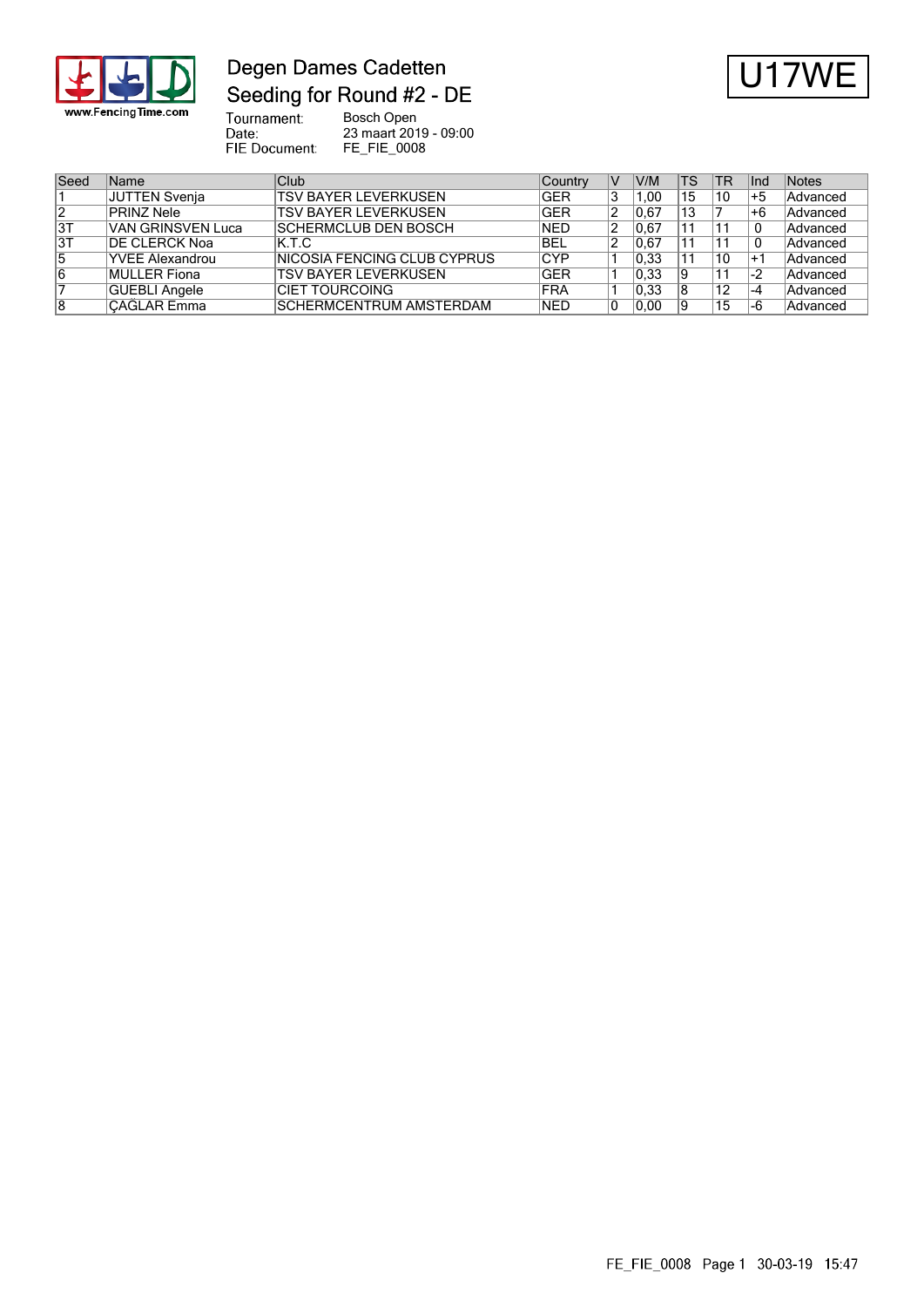

# Degen Dames Cadetten Seeding for Round #2 - DE



Tournament:<br>Date:<br>FIE Document: Bosch Open 23 maart 2019 - 09:00 FE\_FIE\_0008

| Seed | <b>Name</b>            | <b>Club</b>                  | Country    | V  | V/M   | <b>TS</b> | <b>TR</b> | Ind  | Notes    |
|------|------------------------|------------------------------|------------|----|-------|-----------|-----------|------|----------|
|      | JUTTEN Svenja          | <b>TSV BAYER LEVERKUSEN</b>  | <b>GER</b> | 3  | .00   | 15        | 10        | +5   | Advanced |
| 12   | <b>PRINZ Nele</b>      | <b>TSV BAYER LEVERKUSEN</b>  | <b>GER</b> | 2  | 10.67 | 13        |           | $+6$ | Advanced |
| 3T   | VAN GRINSVEN Luca      | <b>SCHERMCLUB DEN BOSCH</b>  | NED        | 2  | 10.67 | 11        |           | 0    | Advanced |
| 3T   | <b>IDE CLERCK Noa</b>  | IK.T.C                       | <b>BEL</b> | 2  | 0.67  | 11        |           | 0    | Advanced |
| 15   | <b>YVEE Alexandrou</b> | INICOSIA FENCING CLUB CYPRUS | <b>CYP</b> |    | 0.33  | 11        | 10        | $+1$ | Advanced |
| 16   | MULLER Fiona           | <b>TSV BAYER LEVERKUSEN</b>  | <b>GER</b> |    | 0.33  | 19        |           | -2   | Advanced |
|      | GUEBLI Angele          | ICIET TOURCOING              | <b>FRA</b> |    | 0.33  | 18        | 12        | -4   | Advanced |
| 18   | CAĞLAR Emma            | SCHERMCENTRUM AMSTERDAM      | <b>NED</b> | 10 | 0.00  | 19        | 15        | -6   | Advanced |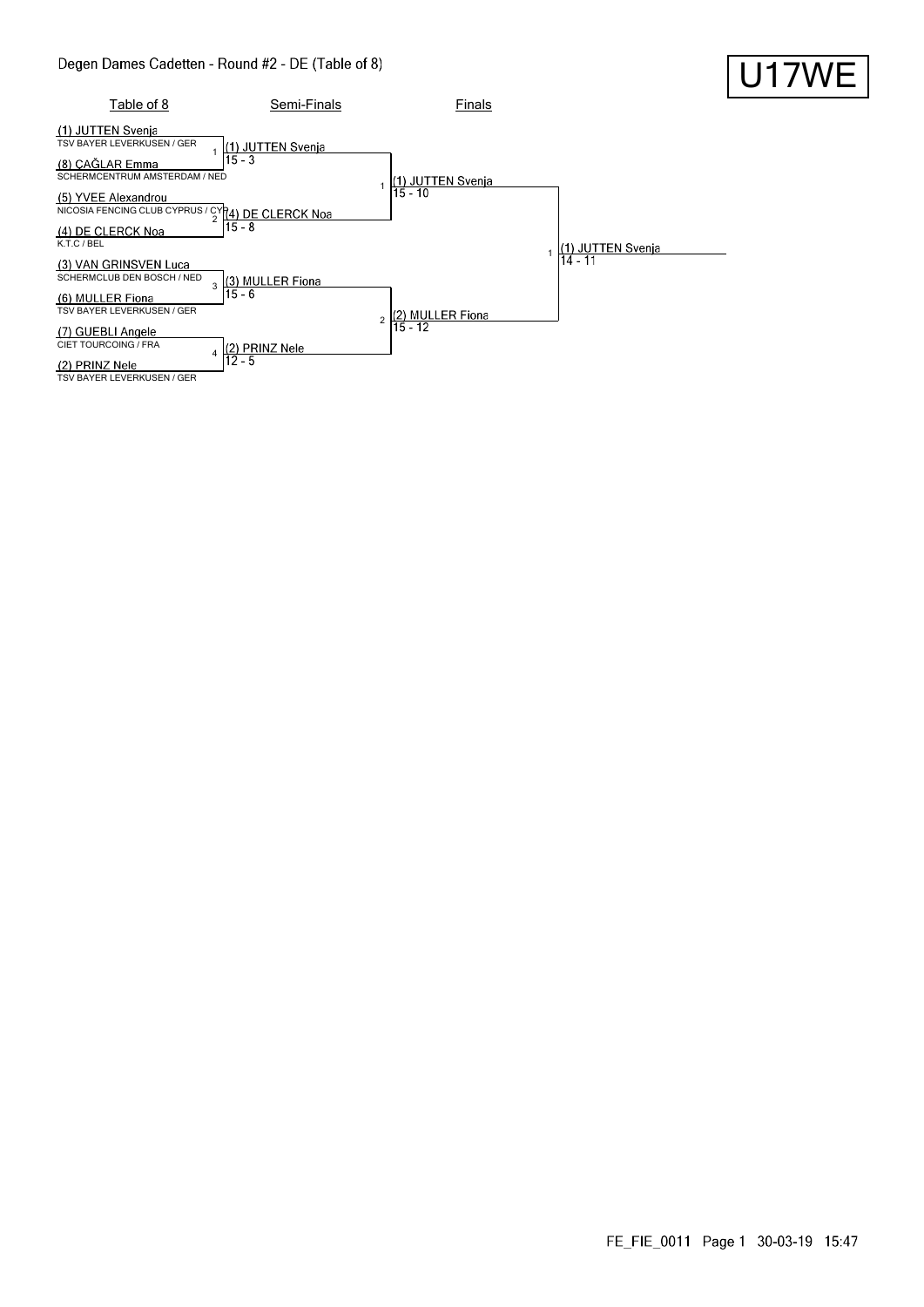

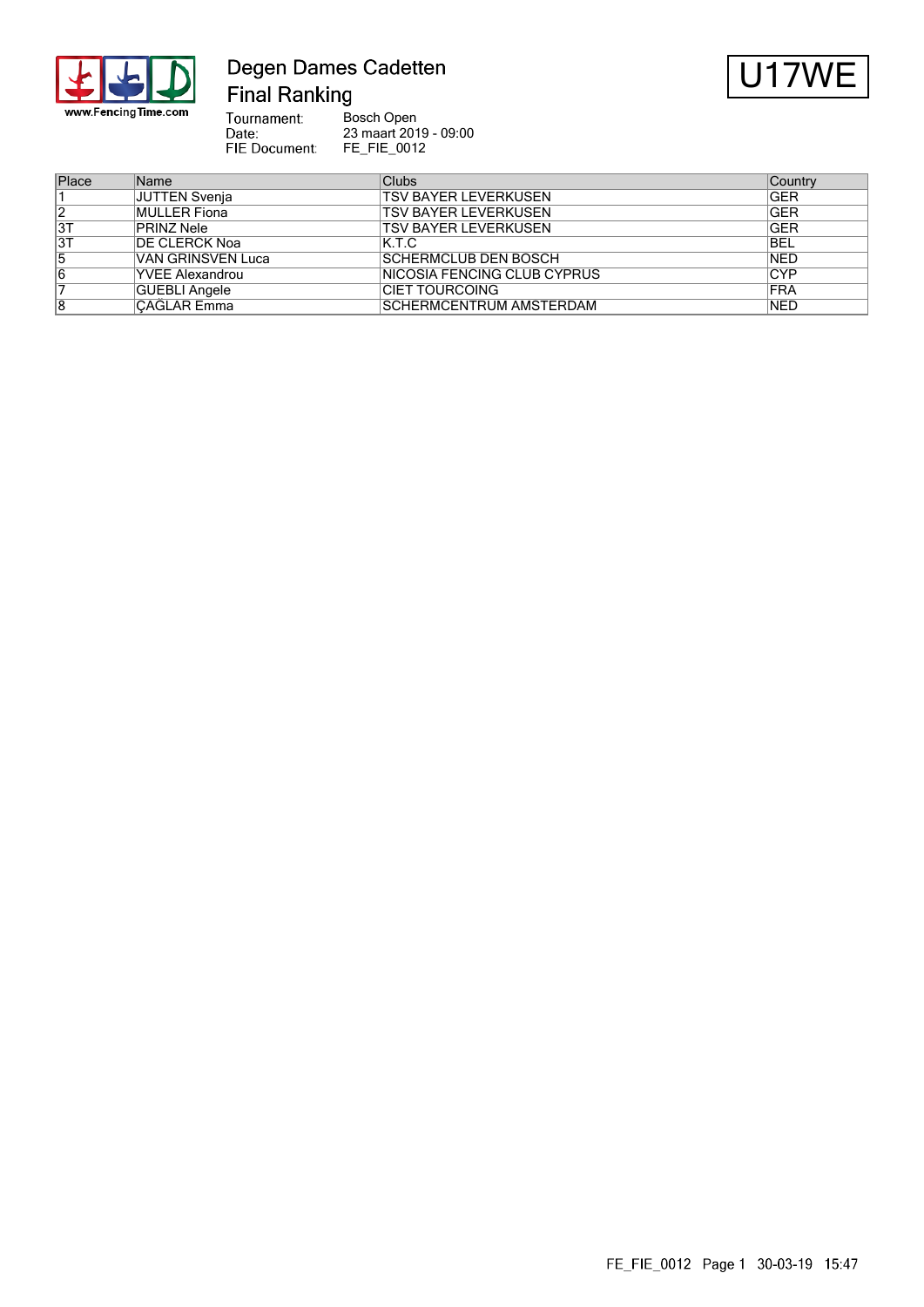

### Degen Dames Cadetten **Final Ranking**



Bosch Open<br>23 maart 2019 - 09:00<br>FE\_FIE\_0012 Tournament: Date:<br>Date:<br>FIE Document:

| Place | Name                   | Clubs                          | Country     |
|-------|------------------------|--------------------------------|-------------|
|       | JUTTEN Svenja          | <b>TSV BAYER LEVERKUSEN</b>    | <b>GER</b>  |
| 12    | MULLER Fiona           | <b>TSV BAYER LEVERKUSEN</b>    | <b>GER</b>  |
| 3T    | <b>PRINZ Nele</b>      | <b>TSV BAYER LEVERKUSEN</b>    | <b>GER</b>  |
| 3T    | <b>IDE CLERCK Noa</b>  | IK.T.C                         | BEL         |
| 5     | VAN GRINSVEN Luca      | <b>SCHERMCLUB DEN BOSCH</b>    | <b>NED</b>  |
| 6     | <b>YVEE Alexandrou</b> | INICOSIA FENCING CLUB CYPRUS   | <b>CYP</b>  |
|       | GUEBLI Angele          | <b>CIET TOURCOING</b>          | <b>FRA</b>  |
| 8     | CAĞLAR Emma            | <b>SCHERMCENTRUM AMSTERDAM</b> | <b>INED</b> |